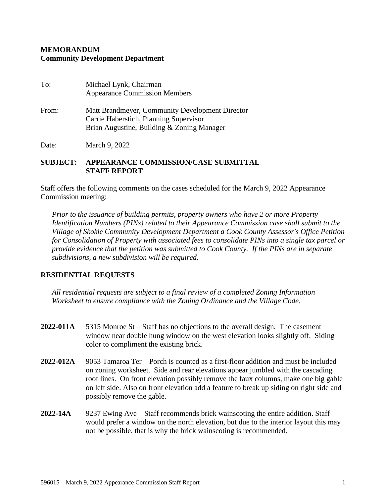## **MEMORANDUM Community Development Department**

| To:   | Michael Lynk, Chairman<br><b>Appearance Commission Members</b>                                                                          |
|-------|-----------------------------------------------------------------------------------------------------------------------------------------|
| From: | Matt Brandmeyer, Community Development Director<br>Carrie Haberstich, Planning Supervisor<br>Brian Augustine, Building & Zoning Manager |

Date: March 9, 2022

## **SUBJECT: APPEARANCE COMMISSION/CASE SUBMITTAL – STAFF REPORT**

Staff offers the following comments on the cases scheduled for the March 9, 2022 Appearance Commission meeting:

*Prior to the issuance of building permits, property owners who have 2 or more Property Identification Numbers (PINs) related to their Appearance Commission case shall submit to the Village of Skokie Community Development Department a Cook County Assessor's Office Petition for Consolidation of Property with associated fees to consolidate PINs into a single tax parcel or provide evidence that the petition was submitted to Cook County. If the PINs are in separate subdivisions, a new subdivision will be required.*

## **RESIDENTIAL REQUESTS**

*All residential requests are subject to a final review of a completed Zoning Information Worksheet to ensure compliance with the Zoning Ordinance and the Village Code.*

- **2022-011A** 5315 Monroe St Staff has no objections to the overall design. The casement window near double hung window on the west elevation looks slightly off. Siding color to compliment the existing brick.
- **2022-012A** 9053 Tamaroa Ter Porch is counted as a first-floor addition and must be included on zoning worksheet. Side and rear elevations appear jumbled with the cascading roof lines. On front elevation possibly remove the faux columns, make one big gable on left side. Also on front elevation add a feature to break up siding on right side and possibly remove the gable.
- **2022-14A** 9237 Ewing Ave Staff recommends brick wainscoting the entire addition. Staff would prefer a window on the north elevation, but due to the interior layout this may not be possible, that is why the brick wainscoting is recommended.